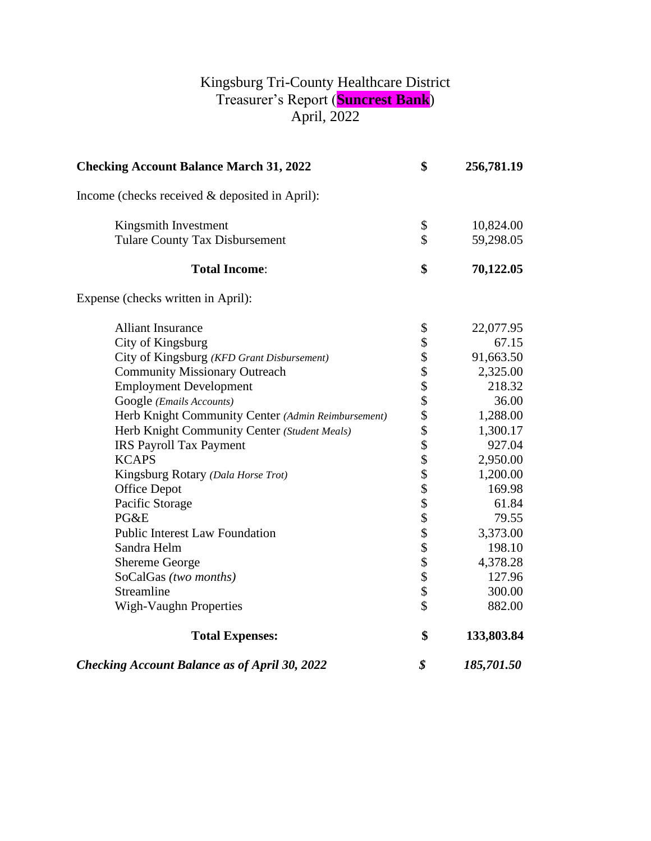## Kingsburg Tri-County Healthcare District Treasurer's Report (**Suncrest Bank**) April, 2022

| <b>Checking Account Balance March 31, 2022</b>       | \$                 | 256,781.19 |
|------------------------------------------------------|--------------------|------------|
| Income (checks received & deposited in April):       |                    |            |
| Kingsmith Investment                                 | \$                 | 10,824.00  |
| <b>Tulare County Tax Disbursement</b>                | \$                 | 59,298.05  |
| <b>Total Income:</b>                                 | \$                 | 70,122.05  |
| Expense (checks written in April):                   |                    |            |
| <b>Alliant Insurance</b>                             | \$                 | 22,077.95  |
| City of Kingsburg                                    | \$                 | 67.15      |
| City of Kingsburg (KFD Grant Disbursement)           | \$\$\$\$\$\$\$\$\$ | 91,663.50  |
| <b>Community Missionary Outreach</b>                 |                    | 2,325.00   |
| <b>Employment Development</b>                        |                    | 218.32     |
| Google (Emails Accounts)                             |                    | 36.00      |
| Herb Knight Community Center (Admin Reimbursement)   |                    | 1,288.00   |
| Herb Knight Community Center (Student Meals)         |                    | 1,300.17   |
| <b>IRS Payroll Tax Payment</b>                       |                    | 927.04     |
| <b>KCAPS</b>                                         |                    | 2,950.00   |
| Kingsburg Rotary (Dala Horse Trot)                   |                    | 1,200.00   |
| <b>Office Depot</b>                                  |                    | 169.98     |
| Pacific Storage                                      |                    | 61.84      |
| PG&E                                                 |                    | 79.55      |
| <b>Public Interest Law Foundation</b>                | \$\$\$\$\$\$\$     | 3,373.00   |
| Sandra Helm                                          |                    | 198.10     |
| <b>Shereme George</b>                                |                    | 4,378.28   |
| SoCalGas (two months)                                |                    | 127.96     |
| Streamline                                           | \$                 | 300.00     |
| Wigh-Vaughn Properties                               | \$                 | 882.00     |
| <b>Total Expenses:</b>                               | \$                 | 133,803.84 |
| <b>Checking Account Balance as of April 30, 2022</b> | \$                 | 185,701.50 |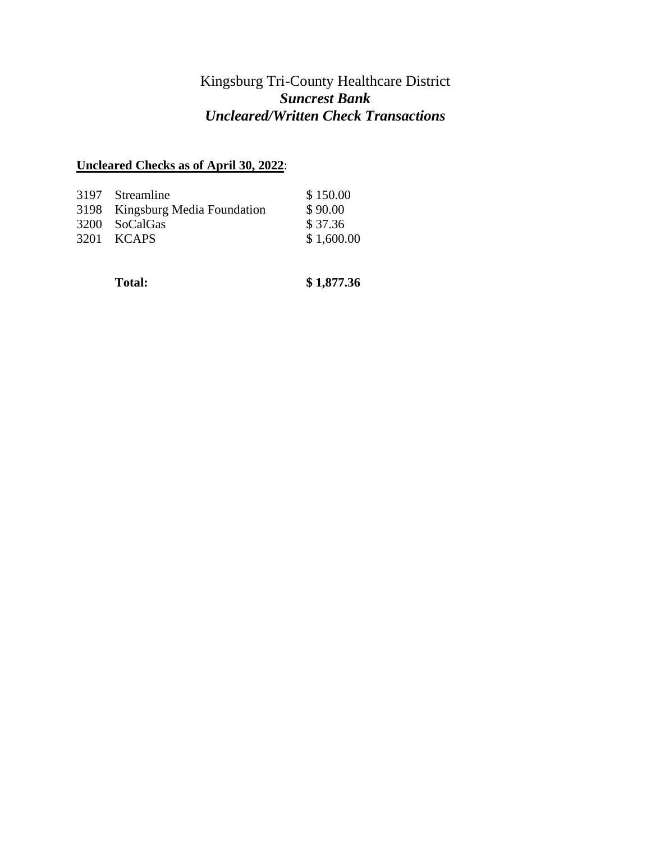## Kingsburg Tri-County Healthcare District *Suncrest Bank Uncleared/Written Check Transactions*

## **Uncleared Checks as of April 30, 2022**:

| 3197 Streamline                 | \$150.00   |
|---------------------------------|------------|
| 3198 Kingsburg Media Foundation | \$90.00    |
| 3200 SoCalGas                   | \$37.36    |
| 3201 KCAPS                      | \$1,600.00 |

**Total: \$ 1,877.36**